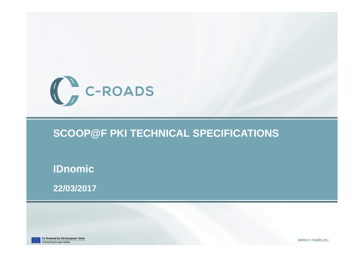

#### **SCOOP@F PKI TECHNICAL SPECIFICATIONS**

**IDnomic**

**22/03/2017**



Co-financed by the European Union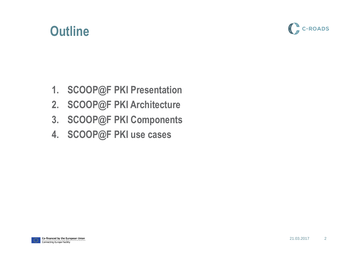### **Outline**



- **1. SCOOP@F PKI Presentation**
- **2. SCOOP@F PKI Architecture**
- **3. SCOOP@F PKI Components**
- **4. SCOOP@F PKI use cases**

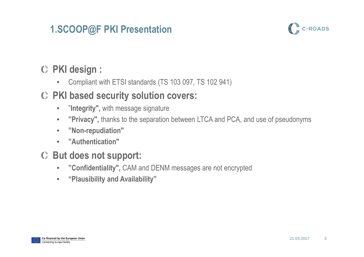#### **1.SCOOP@F PKI Presentation**



### **PKI design :**

 $\bullet$ Compliant with ETSI standards (TS 103 097, TS 102 941)

#### **PKI based security solution covers:**

- $\bullet$ "**Integrity",** with message signature
- $\bullet$ **"Privacy",** thanks to the separation between LTCA and PCA, and use of pseudonyms
- $\bullet$ **"Non-repudiation"**
- •**"Authentication"**

#### **But does not support:**

- $\bullet$ **"Confidentiality",** CAM and DENM messages are not encrypted
- $\bullet$ **"Plausibility and Availability"**

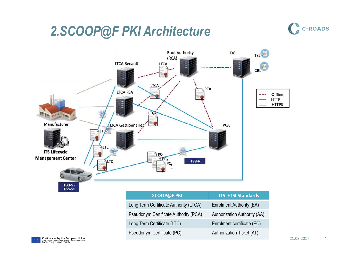### *2.SCOOP@F PKI Architecture*



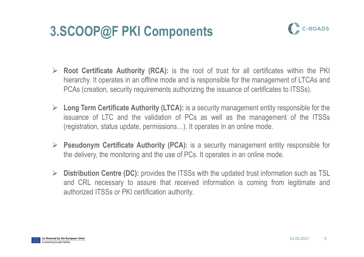### **3.SCOOP@F PKI Components**



- **Root Certificate Authority (RCA):** is the root of trust for all certificates within the PKI<br>historychy, it energies in an efflipe mode and is reapproachle for the management of LTCAs and hierarchy. It operates in an offline mode and is responsible for the management of LTCAs and PCAs (creation, security requirements authorizing the issuance of certificates to ITSSs).
- **Long Term Certificate Authority (LTCA):** is a security management entity responsible for the line issuance of LTC and the validation of PCs as well as the management of the ITSSs(registration, status update, permissions…). It operates in an online mode.
- **Pseudonym Certificate Authority (PCA):** is a security management entity responsible for<br>the delivery the maniforms and the use of PCs. It energies in an enline mode the delivery, the monitoring and the use of PCs. It operates in an online mode.
- **Distribution Centre (DC):** provides the ITSSs with the updated trust information such as TSL<br>and CPL pecessary to secure that resolved information is coming from logitimate and and CRL necessary to assure that received information is coming from legitimate andauthorized ITSSs or PKI certification authority.

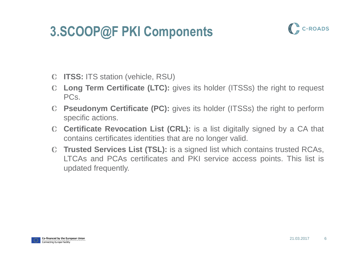## **3.SCOOP@F PKI Components**



- **ITSS:** ITS station (vehicle, RSU)
- **Long Term Certificate (LTC):** gives its holder (ITSSs) the right to request PCs.
- **Pseudonym Certificate (PC):** gives its holder (ITSSs) the right to performspecific actions.
- **Certificate Revocation List (CRL):** is <sup>a</sup> list digitally signed by <sup>a</sup> CA that contains certificates identities that are no longer valid.
- **Trusted Services List (TSL):** is <sup>a</sup> signed list which contains trusted RCAs, LTCAs and PCAs certificates and PKI service access points. This list isupdated frequently.

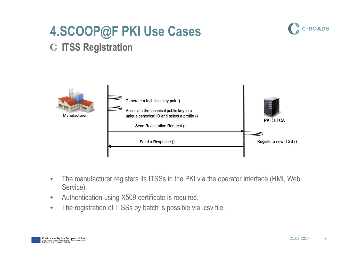



#### Generate a technical key pair () Associate the technical public key to a Manufacturer unique canonical ID and select a profile () **PKI: LTCA** Send Registration Request () Register a new ITSS () Send a Response ()

- • The manufacturer registers its ITSSs in the PKI via the operator interface (HMI, Web Service).
- •Authentication using X509 certificate is required.
- •The registration of ITSSs by batch is possible via .csv file.

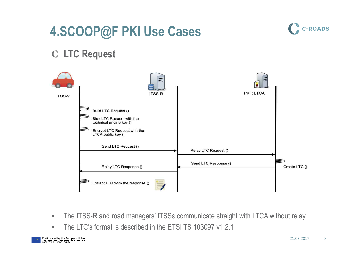### **4.SCOOP@F PKI Use Cases**



#### **LTC Request**



- $\bullet$ The ITSS-R and road managers' ITSSs communicate straight with LTCA without relay.
- $\bullet$ The LTC's format is described in the ETSI TS 103097 v1.2.1

Co-financed by the European Union Connecting Europe Facility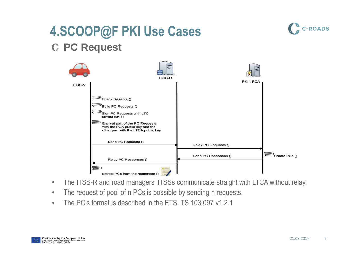### **4.SCOOP@F PKI Use CasesPC Request**



- $\bullet$ The ITSS-R and road managers' ITSSs communicate straight with LTCA without relay.
- $\bullet$ The request of pool of n PCs is possible by sending n requests.
- $\bullet$ The PC's format is described in the ETSI TS 103 097 v1.2.1



C-ROADS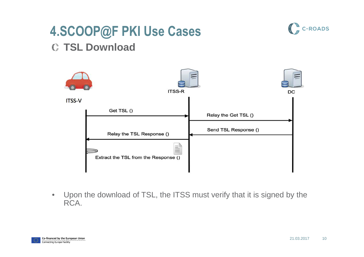### **4.SCOOP@F PKI Use CasesTSL Download**



 $\bullet$  Upon the download of TSL, the ITSS must verify that it is signed by the RCA.



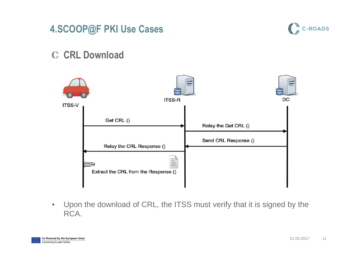



#### **C** CRL Download



 $\bullet$  Upon the download of CRL, the ITSS must verify that it is signed by the RCA.